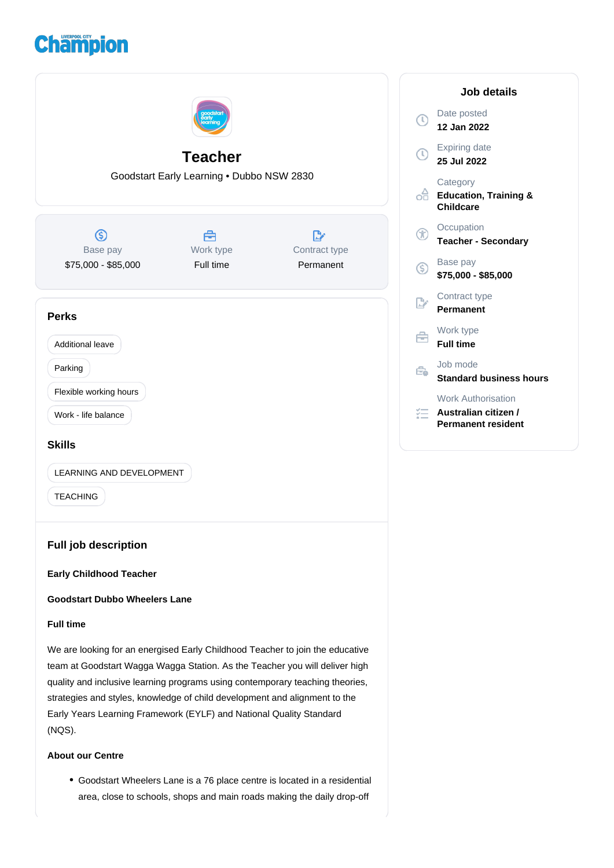# **Champion**



strategies and styles, knowledge of child development and alignment to the Early Years Learning Framework (EYLF) and National Quality Standard (NQS).

## **About our Centre**

Goodstart Wheelers Lane is a 76 place centre is located in a residential area, close to schools, shops and main roads making the daily drop-off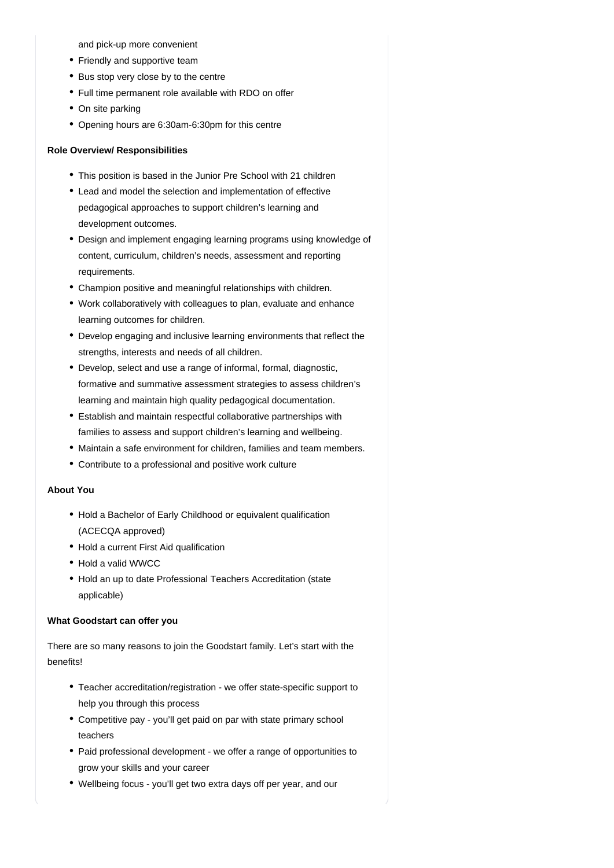and pick-up more convenient

- Friendly and supportive team
- Bus stop very close by to the centre
- Full time permanent role available with RDO on offer
- On site parking
- Opening hours are 6:30am-6:30pm for this centre

#### **Role Overview/ Responsibilities**

- This position is based in the Junior Pre School with 21 children
- Lead and model the selection and implementation of effective pedagogical approaches to support children's learning and development outcomes.
- Design and implement engaging learning programs using knowledge of content, curriculum, children's needs, assessment and reporting requirements.
- Champion positive and meaningful relationships with children.
- Work collaboratively with colleagues to plan, evaluate and enhance learning outcomes for children.
- Develop engaging and inclusive learning environments that reflect the strengths, interests and needs of all children.
- Develop, select and use a range of informal, formal, diagnostic, formative and summative assessment strategies to assess children's learning and maintain high quality pedagogical documentation.
- Establish and maintain respectful collaborative partnerships with families to assess and support children's learning and wellbeing.
- Maintain a safe environment for children, families and team members.
- Contribute to a professional and positive work culture

#### **About You**

- Hold a Bachelor of Early Childhood or equivalent qualification (ACECQA approved)
- Hold a current First Aid qualification
- Hold a valid WWCC
- Hold an up to date Professional Teachers Accreditation (state applicable)

## **What Goodstart can offer you**

There are so many reasons to join the Goodstart family. Let's start with the benefits!

- Teacher accreditation/registration we offer state-specific support to help you through this process
- Competitive pay you'll get paid on par with state primary school teachers
- Paid professional development we offer a range of opportunities to grow your skills and your career
- Wellbeing focus you'll get two extra days off per year, and our